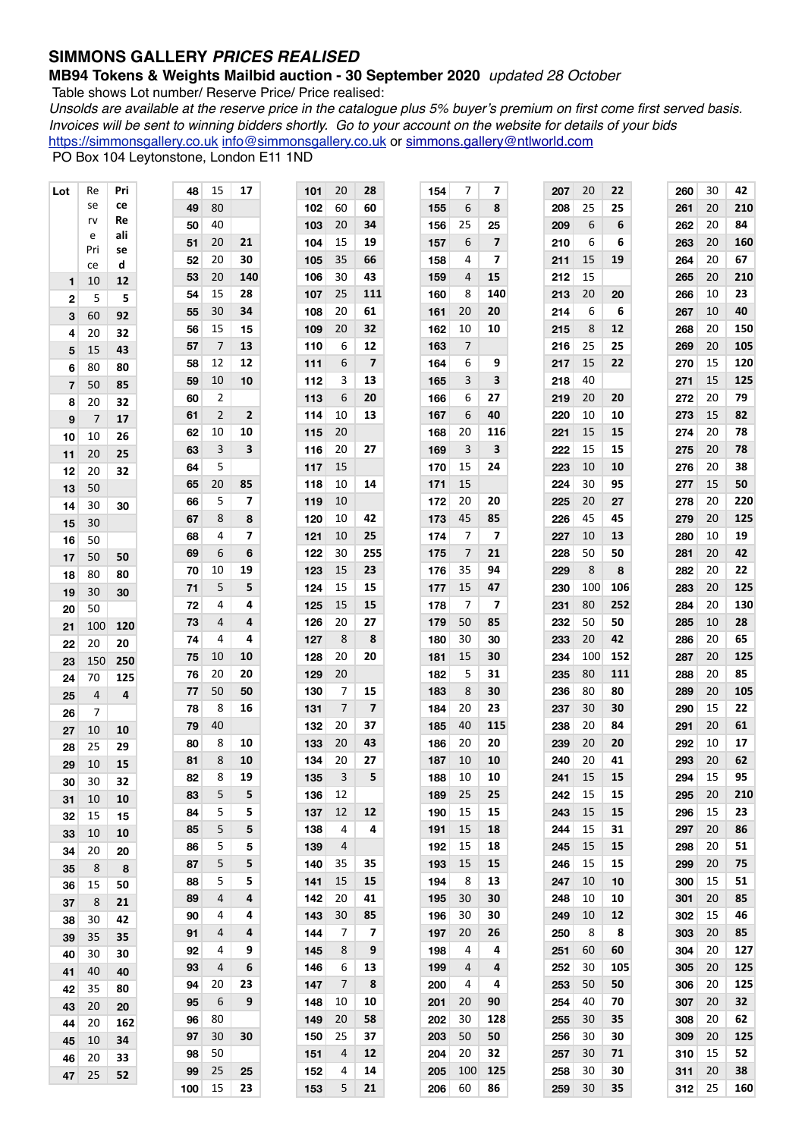## **SIMMONS GALLERY** *PRICES REALISED*

## **MB94 Tokens & Weights Mailbid auction - 30 September 2020** *updated 28 October*

Table shows Lot number/ Reserve Price/ Price realised:

*Unsolds are available at the reserve price in the catalogue plus 5% buyer's premium on first come first served basis. Invoices will be sent to winning bidders shortly. Go to your account on the website for details of your bids* [https://simmonsgallery.co.uk](http://www.simmonsgallery.co.uk) [info@simmonsgallery.co.uk](mailto:info@simmonsgallery.co.uk) or [simmons.gallery@ntlworld.com](mailto:simmons.gallery@ntlworld.com) PO Box 104 Leytonstone, London E11 1ND